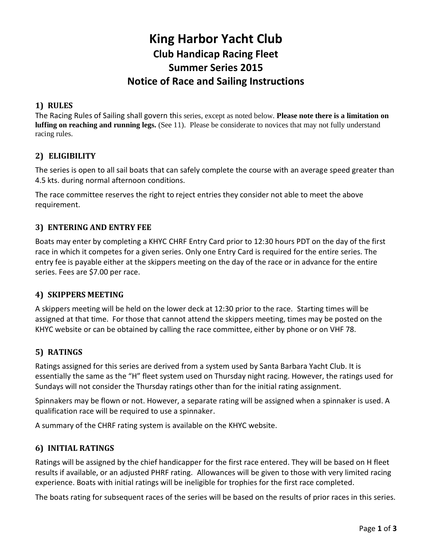# **King Harbor Yacht Club Club Handicap Racing Fleet Summer Series 2015 Notice of Race and Sailing Instructions**

# **1) RULES**

The Racing Rules of Sailing shall govern this series, except as noted below. **Please note there is a limitation on luffing on reaching and running legs.** (See 11). Please be considerate to novices that may not fully understand racing rules.

# **2) ELIGIBILITY**

The series is open to all sail boats that can safely complete the course with an average speed greater than 4.5 kts. during normal afternoon conditions.

The race committee reserves the right to reject entries they consider not able to meet the above requirement.

## **3) ENTERING AND ENTRY FEE**

Boats may enter by completing a KHYC CHRF Entry Card prior to 12:30 hours PDT on the day of the first race in which it competes for a given series. Only one Entry Card is required for the entire series. The entry fee is payable either at the skippers meeting on the day of the race or in advance for the entire series. Fees are \$7.00 per race.

## **4) SKIPPERS MEETING**

A skippers meeting will be held on the lower deck at 12:30 prior to the race. Starting times will be assigned at that time. For those that cannot attend the skippers meeting, times may be posted on the KHYC website or can be obtained by calling the race committee, either by phone or on VHF 78.

## **5) RATINGS**

Ratings assigned for this series are derived from a system used by Santa Barbara Yacht Club. It is essentially the same as the "H" fleet system used on Thursday night racing. However, the ratings used for Sundays will not consider the Thursday ratings other than for the initial rating assignment.

Spinnakers may be flown or not. However, a separate rating will be assigned when a spinnaker is used. A qualification race will be required to use a spinnaker.

A summary of the CHRF rating system is available on the KHYC website.

## **6) INITIAL RATINGS**

Ratings will be assigned by the chief handicapper for the first race entered. They will be based on H fleet results if available, or an adjusted PHRF rating. Allowances will be given to those with very limited racing experience. Boats with initial ratings will be ineligible for trophies for the first race completed.

The boats rating for subsequent races of the series will be based on the results of prior races in this series.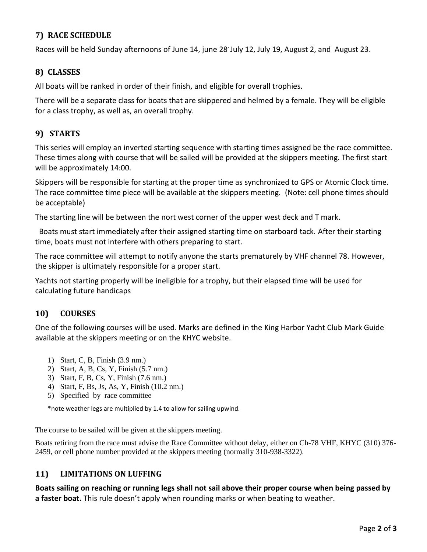## **7) RACE SCHEDULE**

Races will be held Sunday afternoons of June 14, june 28' July 12, July 19, August 2, and August 23.

#### **8) CLASSES**

All boats will be ranked in order of their finish, and eligible for overall trophies.

There will be a separate class for boats that are skippered and helmed by a female. They will be eligible for a class trophy, as well as, an overall trophy.

#### **9) STARTS**

This series will employ an inverted starting sequence with starting times assigned be the race committee. These times along with course that will be sailed will be provided at the skippers meeting. The first start will be approximately 14:00.

Skippers will be responsible for starting at the proper time as synchronized to GPS or Atomic Clock time. The race committee time piece will be available at the skippers meeting. (Note: cell phone times should be acceptable)

The starting line will be between the nort west corner of the upper west deck and T mark.

 Boats must start immediately after their assigned starting time on starboard tack. After their starting time, boats must not interfere with others preparing to start.

The race committee will attempt to notify anyone the starts prematurely by VHF channel 78. However, the skipper is ultimately responsible for a proper start.

Yachts not starting properly will be ineligible for a trophy, but their elapsed time will be used for calculating future handicaps

#### **10) COURSES**

One of the following courses will be used. Marks are defined in the King Harbor Yacht Club Mark Guide available at the skippers meeting or on the KHYC website.

- 1) Start, C, B, Finish (3.9 nm.)
- 2) Start, A, B, Cs, Y, Finish (5.7 nm.)
- 3) Start, F, B, Cs, Y, Finish (7.6 nm.)
- 4) Start, F, Bs, Js, As, Y, Finish (10.2 nm.)
- 5) Specified by race committee

\*note weather legs are multiplied by 1.4 to allow for sailing upwind.

The course to be sailed will be given at the skippers meeting.

Boats retiring from the race must advise the Race Committee without delay, either on Ch-78 VHF, KHYC (310) 376- 2459, or cell phone number provided at the skippers meeting (normally 310-938-3322).

#### **11) LIMITATIONS ON LUFFING**

**Boats sailing on reaching or running legs shall not sail above their proper course when being passed by a faster boat.** This rule doesn't apply when rounding marks or when beating to weather.